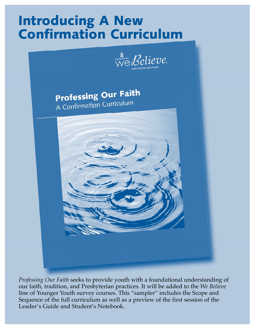# Introducing A New Confirmation Curriculum



**Professing Our Faith** A Confirmation Curriculum



*Professing Our Faith* seeks to provide youth with a foundational understanding of our faith, tradition, and Presbyterian practices. It will be added to the *We Believe* line of Younger Youth survey courses. This "sampler" includes the Scope and Sequence of the full curriculum as well as a preview of the first session of the Leader's Guide and Student's Notebook.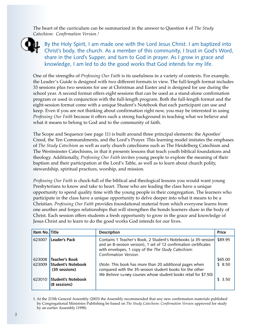The heart of the curriculum can be summarized in the answer to Question 4 of *The Study Catechism: Confirmation Version.* 1



By the Holy Spirit, I am made one with the Lord Jesus Christ. I am baptized into Christ's body, the church. As a member of this community, I trust in God's Word, share in the Lord's Supper, and turn to God in prayer. As I grow in grace and knowledge, I am led to do the good works that God intends for my life.

One of the strengths of *Professing Our Faith* is its usefulness in a variety of contexts. For example, the Leader's Guide is designed with two different formats in view. The full-length format includes 33 sessions plus two sessions for use at Christmas and Easter and is designed for use during the school year. A second format offers eight sessions that can be used as a stand-alone confirmation program or used in conjunction with the full-length program. Both the full-length format and the eight-session format come with a unique Student's Notebook that each participant can use and keep. Even if you are not thinking about confirmation right now, you may be interested in using *Professing Our Faith* because it offers such a strong background in teaching what we believe and what it means to belong to God and to the community of faith.

The Scope and Sequence (see page 11) is built around three principal elements: the Apostles' Creed, the Ten Commandments, and the Lord's Prayer. This learning model imitates the emphases of *The Study Catechism* as well as early church catechisms such as The Heidelberg Catechism and The Westminster Catechisms, in that it presents lessons that teach youth biblical foundations and theology. Additionally, *Professing Our Faith* invites young people to explore the meaning of their baptism and their participation at the Lord's Table, as well as to learn about church polity, stewardship, spiritual practices, worship, and mission.

*Professing Our Faith* is chock-full of the biblical and theological lessons you would want young Presbyterians to know and take to heart. Those who are leading the class have a unique opportunity to spend quality time with the young people in their congregation. The learners who participate in the class have a unique opportunity to delve deeper into what it means to be a Christian. *Professing Our Faith* provides foundational material from which everyone learns from one another and forges relationships that will strengthen the bonds learners share in the body of Christ. Each session offers students a fresh opportunity to grow in the grace and knowledge of Jesus Christ and to learn to do the good works God intends for our lives.

| Item No. Title |                                            | <b>Description</b>                                                                                                                                                                                                | <b>Price</b> |
|----------------|--------------------------------------------|-------------------------------------------------------------------------------------------------------------------------------------------------------------------------------------------------------------------|--------------|
| 623007         | <b>Leader's Pack</b>                       | Contains 1 Teacher's Book, 2 Student's Notebooks (a 35-session<br>and an 8-session version), 1 set of 12 confirmation certificates<br>with envelopes, 1 copy of the The Study Catechism:<br>Confirmation Version. | \$89.95      |
| 623008         | <b>Teacher's Book</b>                      |                                                                                                                                                                                                                   | \$65.00      |
| 623009         | <b>Student's Notebook</b><br>(35 sessions) | (Note: This book has more than 20 additional pages when<br>compared with the 35-session student books for the other<br>We Believe survey courses whose student books retail for \$7.50)                           | \$8.50       |
| 623010         | <b>Student's Notebook</b><br>(8 sessions)  |                                                                                                                                                                                                                   | 3.50         |

1. At the 215th General Assembly (2003) the Assembly recommended that any new confirmation materials published by Congregational Ministries Publishing be based on *The Study Catechism: Confirmation Version* approved for study by an earlier Assembly (1998).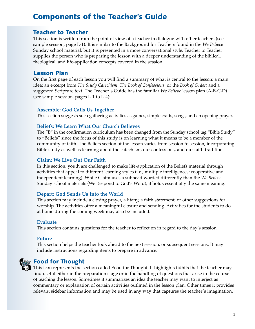### Components of the Teacher's Guide

#### Teacher to Teacher

This section is written from the point of view of a teacher in dialogue with other teachers (see sample session, page L-1). It is similar to the Background for Teachers found in the *We Believe* Sunday school material, but it is presented in a more conversational style. Teacher to Teacher supplies the person who is preparing the lesson with a deeper understanding of the biblical, theological, and life-application concepts covered in the session.

#### Lesson Plan

On the first page of each lesson you will find a summary of what is central to the lesson: a main idea; an excerpt from *The Study Catechism, The Book of Confessions,* or the *Book of Order;* and a suggested Scripture text. The Teacher's Guide has the familiar *We Believe* lesson plan (A-B-C-D) (see sample session, pages L-1 to L-4):

#### **Assemble: God Calls Us Together**

This section suggests such gathering activities as games, simple crafts, songs, and an opening prayer.

#### **Beliefs: We Learn What Our Church Believes**

The "B" in the confirmation curriculum has been changed from the Sunday school tag "Bible Study" to "Beliefs" since the focus of this study is on learning what it means to be a member of the community of faith. The Beliefs section of the lesson varies from session to session, incorporating Bible study as well as learning about the catechism, our confessions, and our faith tradition.

#### **Claim: We Live Out Our Faith**

In this section, youth are challenged to make life-application of the Beliefs material through activities that appeal to different learning styles (i.e., multiple intelligences; cooperative and independent learning). While Claim uses a subhead worded differently than the *We Believe* Sunday school materials (We Respond to God's Word), it holds essentially the same meaning.

#### **Depart: God Sends Us Into the World**

This section may include a closing prayer, a litany, a faith statement, or other suggestions for worship. The activities offer a meaningful closure and sending. Activities for the students to do at home during the coming week may also be included.

#### **Evaluate**

This section contains questions for the teacher to reflect on in regard to the day's session.

#### **Future**

This section helps the teacher look ahead to the next session, or subsequent sessions. It may include instructions regarding items to prepare in advance.



### Food for Thought

This icon represents the section called Food for Thought. It highlights tidbits that the teacher may find useful either in the preparation stage or in the handling of questions that arise in the course of teaching the lesson. Sometimes it summarizes an idea the teacher may want to interject as commentary or explanation of certain activities outlined in the lesson plan. Other times it provides relevant sidebar information and may be used in any way that captures the teacher's imagination.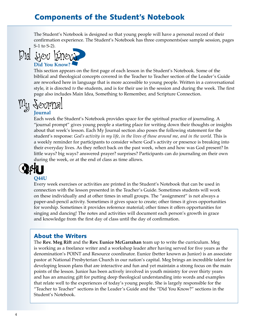### Components of the Student's Notebook

The Student's Notebook is designed so that young people will have a personal record of their confirmation experience. The Student's Notebook has three components(see sample session, pages S-1 to S-2).





**Did You Know?** 

This section appears on the first page of each lesson in the Student's Notebook. Some of the biblical and theological concepts covered in the Teacher to Teacher section of the Leader's Guide are reworked here in language that is more accessible to young people. Written in a conversational style, it is directed *to* the students, and is for their use in the session and during the week. The first page also includes Main Idea, Something to Remember, and Scripture Connection.

### **Journal**  My Journal

Each week the Student's Notebook provides space for the spiritual practice of journaling. A "journal prompt" gives young people a starting place for writing down their thoughts or insights about that week's lesson. Each My Journal section also poses the following statement for the student's response: *God's activity in my life, in the lives of those around me, and in the world*. This is a weekly reminder for participants to consider where God's activity or presence is breaking into their everyday lives. As they reflect back on the past week, when and how was God present? In little ways? big ways? answered prayer? surprises? Participants can do journaling on their own during the week, or at the end of class as time allows.



#### **Q44U**

Every week exercises or activities are printed in the Student's Notebook that can be used in connection with the lesson presented in the Teacher's Guide. Sometimes students will work on these individually and at other times in small groups. The "assignment" is not always a paper-and-pencil activity. Sometimes it gives space to create; other times it gives opportunities for worship. Sometimes it provides reference material; other times it offers opportunities for singing and dancing! The notes and activities will document each person's growth in grace and knowledge from the first day of class until the day of confirmation.

### About the Writers

The **Rev. Meg Rift** and the **Rev. Eunice McGarrahan** team up to write the curriculum. Meg is working as a freelance writer and a workshop leader after having served for five years as the denomination's POINT and Resource coordinator. Eunice (better known as Junior) is an associate pastor at National Presbyterian Church in our nation's capital. Meg brings an incredible talent for developing lesson plans that are interactive and fun and yet maintain a strong focus on the main points of the lesson. Junior has been actively involved in youth ministry for over thirty years and has an amazing gift for putting deep theological understanding into words and examples that relate well to the experiences of today's young people. She is largely responsible for the "Teacher to Teacher" sections in the Leader's Guide and the "Did You Know?" sections in the Student's Notebook.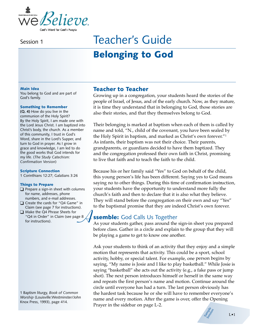

# Belonging to God Session 1 Teacher's Guide

#### Main Idea

You belong to God and are part of God's family.

#### Something to Remember

**(Q. 4)** How do you live in the communion of the Holy Spirit? By the Holy Spirit, I am made one with the Lord Jesus Christ. I am baptized into Christ's body, the church. As a member of this community, I trust in God's Word, share in the Lord's Supper, and turn to God in prayer. As I grow in grace and knowledge, I am led to do the good works that God intends for my life. (*The Study Catechism: Confirmation Version*)

#### Scripture Connection

1 Corinthians 12:27; Galatians 3:26

#### Things to Prepare

- ❑ Prepare a sign-in sheet with columns for name, addresses, phone numbers, and e-mail addresses.
- ❑ Create the cards for "Q4 Game" in Claim (see page 7 for instructions).
- ❑ Make the Q4 Phrase Sheets for "Q4 in Order" in Claim (see page 8 Make the Q4 Phrase Sheets for<br>"Q4 in Order" in Claim (see page 8<br>for instructions).

1 Baptism liturgy, *Book of Common Worship* (Louisville:Westminster/John Knox Press, 1993), page 414.

#### Teacher to Teacher

Growing up in a congregation, your students heard the stories of the people of Israel, of Jesus, and of the early church. Now, as they mature, it is time they understand that in belonging to God, those stories are also their stories, and that they themselves belong to God.

Their belonging is marked at baptism when each of them is called by name and told, "N., child of the covenant, you have been sealed by the Holy Spirit in baptism, and marked as Christ's own forever."1 As infants, their baptism was not their choice. Their parents, grandparents, or guardians decided to have them baptized. They and the congregation professed their own faith in Christ, promising to live that faith and to teach the faith to the child.

Because his or her family said "Yes" to God on behalf of the child, this young person's life has been different. Saying yes to God means saying no to other things. During this time of confirmation instruction, your students have the opportunity to understand more fully the church's faith and then to declare that it is also what they believe. They will stand before the congregation on their own and say "Yes" to the baptismal promise that they are indeed Christ's own forever.

### **ssemble:** God Calls Us Together

As your students gather, pass around the sign-in sheet you prepared before class. Gather in a circle and explain to the group that they will be playing a game to get to know one another.

Ask your students to think of an activity that they enjoy and a simple motion that represents that activity. This could be a sport, school activity, hobby, or special talent. For example, one person begins by saying, "My name is Josie and I like to play basketball." While Josie is saying "basketball" she acts out the activity (e.g., a fake pass or jump shot). The next person introduces himself or herself in the same way and repeats the first person's name and motion. Continue around the circle until everyone has had a turn. The last person obviously has the hardest task because he or she will have to remember everyone's name and every motion. After the game is over, offer the Opening Prayer in the sidebar on page L-2.

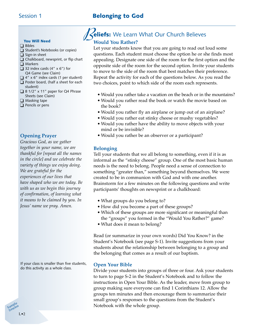### Session 1 **Belonging to God**

#### You Will Need

- ❑ Bibles
- ❑ Student's Notebooks (or copies)
- ❑ Sign-in sheet
- ❑ Chalkboard, newsprint, or flip chart ❑ Markers
- $\Box$  32 index cards (4" x 6") for Q4 Game (see Claim)
- $\Box$  4" x 6" index cards (1 per student)
- ❑ Poster board, (half a sheet for each student)
- ❑ 8 1/2" x 11" paper for Q4 Phrase Sheets (see Claim)
- ❑ Masking tape
- ❑ Pencils or pens

#### **Opening Prayer**

*Gracious God, as we gather together in your name, we are thankful for [repeat all the names in the circle] and we celebrate the variety of things we enjoy doing. We are grateful for the experiences of our lives that have shaped who we are today. Be with us as we begin this journey of confirmation, of learning what it means to be claimed by you. In Jesus' name we pray. Amen.*

If your class is smaller than five students, do this activity as a whole class.

#### eliefs: We Learn What Our Church Believes **Would You Rather?**  $\mathcal{B}_{\text{R}}$

Let your students know that you are going to read out loud some questions. Each student must choose the option he or she finds most appealing. Designate one side of the room for the first option and the opposite side of the room for the second option. Invite your students to move to the side of the room that best matches their preference. Repeat the activity for each of the questions below. As you read the two choices, point to which side of the room each represents.

- Would you rather take a vacation on the beach or in the mountains?
- Would you rather read the book or watch the movie based on the book?
- Would you rather fly an airplane or jump out of an airplane?
- Would you rather eat stinky cheese or mushy vegetables?
- Would you rather have the ability to move objects with your mind or be invisible?
- Would you rather be an observer or a participant?

#### **Belonging**

Tell your students that we all belong to something, even if it is as informal as the "stinky cheese" group. One of the most basic human needs is the need to belong. People need a sense of connection to something "greater than," something beyond themselves. We were created to be in communion with God and with one another. Brainstorm for a few minutes on the following questions and write participants' thoughts on newsprint or a chalkboard:

- What groups do you belong to?
- How did you become a part of these groups?
- Which of these groups are more significant or meaningful than the "groups" you formed in the "Would You Rather?" game?
- What does it mean to belong?

Read (or summarize in your own words) Did You Know? in the Student's Notebook (see page S-1). Invite suggestions from your students about the relationship between belonging to a group and the belonging that comes as a result of our baptism.

#### **Open Your Bible**

Divide your students into groups of three or four. Ask your students to turn to page S-2 in the Student's Notebook and to follow the instructions in Open Your Bible. As the leader, move from group to group making sure everyone can find 1 Corinthians 12. Allow the groups ten minutes and then encourage them to summarize their small group's responses to the questions from the Student's Notebook with the whole group.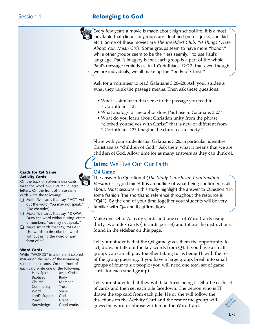### Session 1 **Belonging to God**

Every few years a movie is made about high school life. It is almost  $\mathbb{T}$  inevitable that cliques or groups are identified (nerds, jocks, cool kids, etc.). Some of these movies are *The Breakfast Club, 10 Things I Hate About You, Mean Girls.* Some groups seem to have more "honor," while other groups seem to be the "less seemly," to use Paul's language. Paul's imagery is that each group is a part of the whole. Paul's message reminds us, in 1 Corinthians 12:27, that even though we are individuals, we all make up the "body of Christ."

Ask for a volunteer to read Galatians 3:26–28. Ask your students what they think the passage means. Then ask these questions:

- What is similar in this verse to the passage you read in 1 Corinthians 12?
- What analogy or metaphor does Paul use in Galatians 3:27?
- What do you learn about Christian unity from the phrase "clothed yourselves with Christ" that is new or different from 1 Corinthians 12? Imagine the church as a "body."

Share with your students that Galatians 3:26, in particular, identifies Christians as "children of God." Ask them what it means that we are children of God. Allow time for as many answers as they can think of.

### $\mathcal{C}$ laim: We Live Out Our Faith

#### **Q4 Game**

The answer to Question 4 (*The Study Catechism: Confirmation Version*) is a gold mine! It is an outline of what being confirmed is all about. Most sessions in this study highlight the answer to Question 4 in some fashion (the shorthand reference throughout the resource is "Q4"). By the end of your time together your students will be very familiar with Q4 and its affirmations.

Make one set of Activity Cards and one set of Word Cards using thirty-two index cards (16 cards per set) and follow the instructions found in the sidebar on this page.

Tell your students that the Q4 game gives them the opportunity to act, draw, or talk out the key words from Q4. If you have a small group, you can all play together taking turns being IT with the rest of the group guessing. If you have a large group, break into small groups of four to six people (you will need one total set of game cards for each small group).

Tell your students that they will take turns being IT. Shuffle each set of cards and then set each pile facedown. The person who is IT draws the top card from each pile. He or she will follow the directions on the Activity Card and the rest of the group will guess the word or phrase written on the Word Card.

#### Cards for Q4 Game Activity Cards

On the back of sixteen index cards write the word "ACTIVITY" in large letters. On the front of these same cards write the following:

- ❏ Make five cards that say, "ACT: Act out the word. You may not speak." (like charades).
- ❏ Make five cards that say, "DRAW: Draw the word without using letters or numbers. You may not speak."
- ❏ Make six cards that say, "SPEAK: Use words to describe the word without using the word or any form of it."

#### Word Cards

Write "WORDS" in a different colored marker on the back of the remaining sixteen index cards. On the front of each card write one of the following:

| Jesus Christ |
|--------------|
|              |
|              |
|              |
|              |
|              |
|              |
| Good works   |
|              |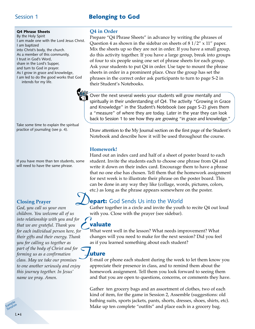### Session 1 **Belonging to God**

#### Q4 Phrase Sheets

By the Holy Spirit I am made one with the Lord Jesus Christ. I am baptized into Christ's body, the church. As a member of this community, I trust in God's Word, share in the Lord's Supper, and turn to God in prayer. As I grow in grace and knowledge, I am led to do the good works that God intends for my life.

Take some time to explain the spiritual practice of journaling (see p. 4).

If you have more than ten students, some will need to have the same phrase.

#### **Closing Prayer**

*God, you call us your own children. You welcome all of us into relationship with you and for that we are grateful. Thank you for each individual person here, for their gifts and their energy. Thank you for calling us together as part of the body of Christ and for forming us as a confirmation class. May we take our promises to one another seriously and enjoy this journey together. In Jesus' name we pray. Amen.*  $\sum_{\mathbf{v}}$ *F*

#### **Q4 in Order**

Prepare "Q4 Phrase Sheets" in advance by writing the phrases of Question 4 as shown in the sidebar on sheets of 8 1/2" x 11" paper. Mix the sheets up so they are not in order. If you have a small group, do this activity together. If you have a large group, break into groups of four to six people using one set of phrase sheets for each group. Ask your students to put Q4 in order. Use tape to mount the phrase sheets in order in a prominent place. Once the group has set the phrases in the correct order ask participants to turn to page S-2 in their Student's Notebooks.

Over the next several weeks your students will grow mentally and spiritually in their understanding of Q4. The activity "Growing in Grace and Knowledge" in the Student's Notebook (see page S-2) gives them a "measure" of where they are today. Later in the year they can look back to Session 1 to see how they are growing "in grace and knowledge."

Draw attention to the My Journal section on the first page of the Student's Notebook and describe how it will be used throughout the course.

#### **Homework!**

Hand out an index card and half of a sheet of poster board to each student. Invite the students each to choose one phrase from Q4 and write it down on their index card. Encourage them to have a phrase that no one else has chosen. Tell them that the homework assignment for next week is to illustrate their phrase on the poster board. This can be done in any way they like (collage, words, pictures, colors, etc.) as long as the phrase appears somewhere on the poster.

### *D* **epart:** God Sends Us into the World

Gather together in a circle and invite the youth to recite Q4 out loud with you. Close with the prayer (see sidebar).

#### valuate

What went well in the lesson? What needs improvement? What changes will you need to make for the next session? Did you feel as if you learned something about each student?

### uture

E-mail or phone each student during the week to let them know you appreciate their presence in class, and to remind them about the homework assignment. Tell them you look forward to seeing them and that you are open to questions, concerns, or comments they have.

Gather ten grocery bags and an assortment of clothes, two of each kind of item, for the game in Session 2, Assemble (suggestions: old bathing suits, sports jackets, pants, shorts, dresses, shoes, shirts, etc). Make up ten complete "outfits" and place each in a grocery bag.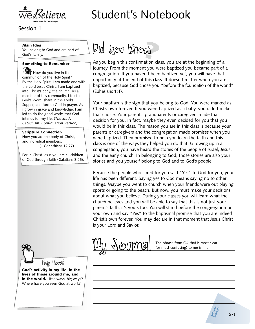

# Student's Notebook

Session 1

#### Main Idea

You belong to God and are part of God's family.

#### Something to Remember

How do you live in the communion of the Holy Spirit? By the Holy Spirit, I am made one with the Lord Jesus Christ. I am baptized into Christ's body, the church. As a member of this community, I trust in God's Word, share in the Lord's Supper, and turn to God in prayer. As I grow in grace and knowledge, I am led to do the good works that God intends for my life. (*The Study Catechism: Confirmation Version*)

#### Scripture Connection

Now you are the body of Christ, and individual members. (1 Corinthians 12:27).

For in Christ Jesus you are all children of God through faith (Galatians 3:26).



As you begin this confirmation class, you are at the beginning of a journey. From the moment you were baptized you became part of a congregation. If you haven't been baptized yet, you will have that opportunity at the end of this class. It doesn't matter when you are baptized, because God chose you "before the foundation of the world" (Ephesians 1:4).

Your baptism is the sign that you belong to God. You were marked as Christ's own forever. If you were baptized as a baby, you didn't make that choice. Your parents, grandparents or caregivers made that decision for you. In fact, maybe they even decided for you that you would be in this class. The reason you are in this class is because your parents or caregivers and the congregation made promises when you were baptized. They promised to help you learn the faith and this class is one of the ways they helped you do that. G rowing up in a congregation, you have heard the stories of the people of Israel, Jesus, and the early church. In belonging to God, those stories are also your stories and you yourself belong to God and to God's people.

Because the people who cared for you said "Yes" to God for you, your life has been different. Saying yes to God means saying no to other things. Maybe you went to church when your friends were out playing sports or going to the beach. But now, you must make your decisions about what you believe. During your classes you will learn what the church believes and you will be able to say that this is not just your parent's faith; it's yours too. You will stand before the congregation on your own and say "Yes" to the baptismal promise that you are indeed Christ's own forever. You may declare in that moment that Jesus Christ is your Lord and Savior.



Pray About

God's activity in my life, in the lives of those around me, and in the world. Little ways, big ways? Where have you seen God at work?



 $\mathcal{O}(N^2)$  The phrase from Q4 that is most clear<br>(or most confusing) to me is ... (or most confusing) to me is . . .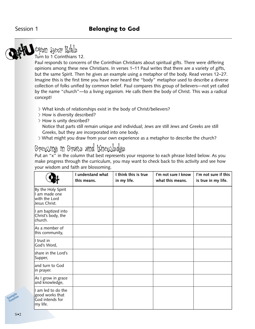

### Open Your Bible Turn to 1 Corinthians 12.

Paul responds to concerns of the Corinthian Christians about spiritual gifts. There were differing opinions among these new Christians. In verses 1–11 Paul writes that there are a variety of gifts, but the same Spirit. Then he gives an example using a metaphor of the body. Read verses 12–27. Imagine this is the first time you have ever heard the "body" metaphor used to describe a diverse collection of folks unified by common belief. Paul compares this group of believers—not yet called by the name "church"—to a living organism. He calls them the body of Christ. This was a radical concept!

- > What kinds of relationships exist in the body of Christ/believers?
- > How is diversity described?
- > How is unity described?

Notice that parts still remain unique and individual; Jews are still Jews and Greeks are still Greeks, but they are incorporated into one body.

> What might you draw from your own experience as a metaphor to describe the church?

### Growing in Grace and Knowledge

Put an "x" in the column that best represents your response to each phrase listed below. As you make progress through the curriculum, you may want to check back to this activity and see how your wisdom and faith are blossoming.

|                                                                       | I understand what<br>this means. | I think this is true<br>in my life. | I'm not sure I know<br>what this means. | I'm not sure if this<br>is true in my life. |
|-----------------------------------------------------------------------|----------------------------------|-------------------------------------|-----------------------------------------|---------------------------------------------|
| By the Holy Spirit<br>I am made one<br>with the Lord<br>Jesus Christ. |                                  |                                     |                                         |                                             |
| I am baptized into<br>Christ's body, the<br>church.                   |                                  |                                     |                                         |                                             |
| As a member of<br>this community,                                     |                                  |                                     |                                         |                                             |
| I trust in<br>God's Word,                                             |                                  |                                     |                                         |                                             |
| share in the Lord's<br>Supper,                                        |                                  |                                     |                                         |                                             |
| land turn to God<br>in prayer.                                        |                                  |                                     |                                         |                                             |
| As I grow in grace<br>and knowledge,                                  |                                  |                                     |                                         |                                             |
| I am led to do the<br>good works that<br>God intends for<br>my life.  |                                  |                                     |                                         |                                             |

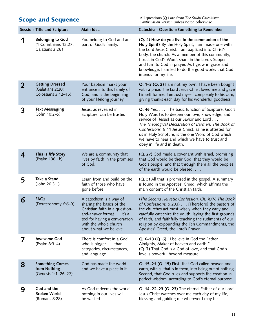All questions (Q.) are from *The Study Catechism: Confirmation Version* unless noted otherwise.

|                         | <b>Session Title and Scripture</b>                                  | Main Idea                                                                                                                                                                                               | <b>Catechism Question/Something to Remember</b>                                                                                                                                                                                                                                                                                                                                                          |
|-------------------------|---------------------------------------------------------------------|---------------------------------------------------------------------------------------------------------------------------------------------------------------------------------------------------------|----------------------------------------------------------------------------------------------------------------------------------------------------------------------------------------------------------------------------------------------------------------------------------------------------------------------------------------------------------------------------------------------------------|
|                         | <b>Belonging to God</b><br>(1 Corinthians 12:27;<br>Galatians 3:26) | You belong to God and are<br>part of God's family.                                                                                                                                                      | (Q. 4) How do you live in the communion of the<br>Holy Spirit? By the Holy Spirit, I am made one with<br>the Lord Jesus Christ. I am baptized into Christ's<br>body, the church. As a member of this community,<br>I trust in God's Word, share in the Lord's Supper,<br>and turn to God in prayer. As I grow in grace and<br>knowledge, I am led to do the good works that God<br>intends for my life.  |
| $\overline{\mathbf{2}}$ | <b>Getting Dressed</b><br>(Galatians 2:20;<br>Colossians 3:12-15)   | Your baptism marks your<br>entrance into this family of<br>God, and is the beginning<br>of your lifelong journey.                                                                                       | Q. 1-3 (Q. 2) I am not my own. I have been bought<br>with a price. The Lord Jesus Christ loved me and gave<br>himself for me. I entrust myself completely to his care,<br>giving thanks each day for his wonderful goodness.                                                                                                                                                                             |
| 3                       | <b>Text Messaging</b><br>(John 10:2-5)                              | Jesus, as revealed in<br>Scripture, can be trusted.                                                                                                                                                     | Q. 46 Yes. [The basic function of Scripture, God's<br>Holy Word] is to deepen our love, knowledge, and<br>service of [Jesus] as our Savior and Lord<br>The Theological Declaration of Barmen, The Book of<br>Confessions, 8.11 Jesus Christ, as he is attested for<br>us in Holy Scripture, is the one Word of God which<br>we have to hear and which we have to trust and<br>obey in life and in death. |
| 4                       | This Is My Story<br>(Psalm 136:1b)                                  | We are a community that<br>lives by faith in the promises<br>of God.                                                                                                                                    | (Q. 27) God made a covenant with Israel, promising<br>that God would be their God, that they would be<br>God's people, and that through them all the peoples<br>of the earth would be blessed.                                                                                                                                                                                                           |
| 5                       | Take a Stand<br>(John 20:31)                                        | Learn from and build on the<br>faith of those who have<br>gone before.                                                                                                                                  | (Q. 5) All that is promised in the gospel. A summary<br>is found in the Apostles' Creed, which affirms the<br>main content of the Christian faith.                                                                                                                                                                                                                                                       |
| 6                       | <b>FAQs</b><br>(Deuteronomy 6:6-9)                                  | A catechism is a way of<br>sharing the basics of the<br>Christian faith in a question-<br>and-answer format it's a<br>tool for having a conversation<br>with the whole church<br>about what we believe. | (The Second Helvetic Confession, Ch. XXV, The Book<br>of Confessions, 5.233) [Therefore] the pastors of<br>the churches act most wisely when they early and<br>carefully catechize the youth, laying the first grounds<br>of faith, and faithfully teaching the rudiments of our<br>religion by expounding the Ten Commandments, the<br>Apostles' Creed, the Lord's Prayer.                              |
|                         | <b>Awesome God</b><br>(Psalm 8:3-4)                                 | There is comfort in a God<br>who is bigger than<br>categories, circumstances,<br>and language.                                                                                                          | Q. 6-13 (Q. 6) "I believe in God the Father<br>Almighty, Maker of heaven and earth."<br>(Q. 7) That God is a God of love, and that God's<br>love is powerful beyond measure.                                                                                                                                                                                                                             |
| 8                       | <b>Something Comes</b><br>from Nothing<br>(Genesis 1:1, 26-27)      | God has made the world<br>and we have a place in it.                                                                                                                                                    | Q. 15-21 (Q. 15) First, that God called heaven and<br>earth, with all that is in them, into being out of nothing.<br>Second, that God rules and supports the creation in<br>perfect wisdom, according to God's eternal purpose.                                                                                                                                                                          |
| 9                       | God and the<br><b>Broken World</b><br>(Romans 8:28)                 | As God redeems the world,<br>nothing in our lives will<br>be wasted.                                                                                                                                    | Q. 14, 22-23 (Q. 23) The eternal Father of our Lord<br>Jesus Christ watches over me each day of my life,<br>blessing and guiding me wherever I may be.                                                                                                                                                                                                                                                   |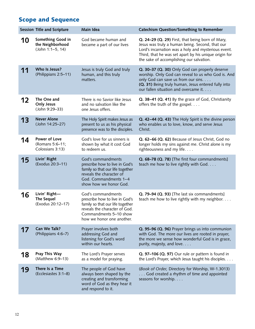|    | <b>Session Title and Scripture</b>                          | Main Idea                                                                                                                                                                        | <b>Catechism Question/Something to Remember</b>                                                                                                                                                                                                                 |
|----|-------------------------------------------------------------|----------------------------------------------------------------------------------------------------------------------------------------------------------------------------------|-----------------------------------------------------------------------------------------------------------------------------------------------------------------------------------------------------------------------------------------------------------------|
| 10 | Something Good in<br>the Neighborhood<br>(John 1:1-5, 14)   | God became human and<br>became a part of our lives                                                                                                                               | Q. 24-29 (Q. 29) First, that being born of Mary,<br>Jesus was truly a human being. Second, that our<br>Lord's incarnation was a holy and mysterious event.<br>Third, that he was set apart by his unique origin for<br>the sake of accomplishing our salvation. |
| 11 | Who Is Jesus?<br>(Philippians 2:5-11)                       | Jesus is truly God and truly<br>human, and this truly<br>matters.                                                                                                                | Q. 30-37 (Q. 30) Only God can properly deserve<br>worship. Only God can reveal to us who God is. And<br>only God can save us from our sins.<br>(Q. 31) Being truly human, Jesus entered fully into<br>our fallen situation and overcame it.                     |
| 12 | The One and<br><b>Only Jesus</b><br>(John 9:29-33)          | There is no Savior like Jesus<br>and no salvation like the<br>one Jesus offers.                                                                                                  | Q. 38-41 (Q. 41) By the grace of God, Christianity<br>offers the truth of the gospel.                                                                                                                                                                           |
| 13 | <b>Never Alone</b><br>(John 14:25-27)                       | The Holy Spirit makes Jesus as<br>present to us as his physical<br>presence was to the disciples.                                                                                | Q. 42-44 (Q. 43) The Holy Spirit is the divine person<br>who enables us to love, know, and serve Jesus<br>Christ.                                                                                                                                               |
| 14 | <b>Power of Love</b><br>(Romans 5:6-11;<br>Colossians 3:13) | God's love for us sinners is<br>shown by what it cost God<br>to redeem us.                                                                                                       | Q. 62-66 (Q. 62) Because of Jesus Christ, God no<br>longer holds my sins against me. Christ alone is my<br>righteousness and my life.                                                                                                                           |
| 15 | Livin' Right<br>(Exodus 20:3-11)                            | God's commandments<br>prescribe how to live in God's<br>family so that our life together<br>reveals the character of<br>God. Commandments 1-4<br>show how we honor God.          | Q. 68-78 (Q. 78) [The first four commandments]<br>teach me how to live rightly with God.                                                                                                                                                                        |
| 16 | Livin' Right-<br><b>The Sequel</b><br>(Exodus 20:12-17)     | God's commandments<br>prescribe how to live in God's<br>family so that our life together<br>reveals the character of God.<br>Commandments 5-10 show<br>how we honor one another. | Q. 79-94 (Q. 93) [The last six commandments]<br>teach me how to live rightly with my neighbor.                                                                                                                                                                  |
| 17 | Can We Talk?<br>(Philippians 4:6-7)                         | Prayer involves both<br>addressing God and<br>listening for God's word<br>within our hearts.                                                                                     | Q. 95-96 (Q. 96) Prayer brings us into communion<br>with God. The more our lives are rooted in prayer,<br>the more we sense how wonderful God is in grace,<br>purity, majesty, and love.                                                                        |
| 18 | Pray This Way<br>(Matthew 6:9-13)                           | The Lord's Prayer serves<br>as a model for praying.                                                                                                                              | Q. 97-106 (Q. 97) Our rule or pattern is found in<br>the Lord's Prayer, which Jesus taught his disciples.                                                                                                                                                       |
| 19 | There Is a Time<br>(Ecclesiastes 3:1-8)                     | The people of God have<br>always been shaped by the<br>creating and transforming<br>word of God as they hear it<br>and respond to it.                                            | (Book of Order, Directory for Worship, W-1.3013)<br>God created a rhythm of time and appointed<br>seasons for worship.                                                                                                                                          |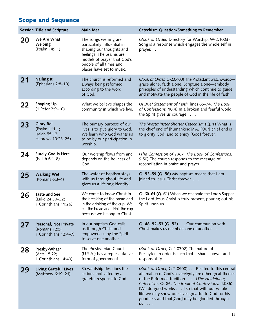|    | Session Title and Scripture                                             | Main Idea                                                                                                                                                                                           | <b>Catechism Question/Something to Remember</b>                                                                                                                                                                                                                                                                                                                                    |
|----|-------------------------------------------------------------------------|-----------------------------------------------------------------------------------------------------------------------------------------------------------------------------------------------------|------------------------------------------------------------------------------------------------------------------------------------------------------------------------------------------------------------------------------------------------------------------------------------------------------------------------------------------------------------------------------------|
| 20 | We Are What<br>We Sing<br>(Psalm 149:1)                                 | The songs we sing are<br>particularly influential in<br>shaping our thoughts and<br>feelings. The psalms are<br>models of prayer that God's<br>people of all times and<br>places have set to music. | (Book of Order, Directory for Worship, W-2.1003)<br>Song is a response which engages the whole self in<br>prayer.                                                                                                                                                                                                                                                                  |
| 21 | <b>Nailing It</b><br>(Ephesians 2:8-10)                                 | The church is reformed and<br>always being reformed<br>according to the word<br>of God.                                                                                                             | (Book of Order, G-2.0400) The Protestant watchwords-<br>grace alone, faith alone, Scripture alone—embody<br>principles of understanding which continue to guide<br>and motivate the people of God in the life of faith.                                                                                                                                                            |
| 22 | <b>Shaping Up</b><br>(1 Peter 2:9-10)                                   | What we believe shapes the<br>community in which we live.                                                                                                                                           | (A Brief Statement of Faith, lines 65-74, The Book<br>of Confessions, 10.4) In a broken and fearful world<br>the Spirit gives us courage $\dots$                                                                                                                                                                                                                                   |
| 23 | <b>Glory Be!</b><br>(Psalm 111:1;<br>Isaiah 55:12;<br>Hebrews 10:23-25) | The primary purpose of our<br>lives is to give glory to God.<br>We learn who God wants us<br>to be by our participation in<br>worship.                                                              | The Westminster Shorter Catechism (Q. 1) What is<br>the chief end of [humankind]? A. [Our] chief end is<br>to glorify God, and to enjoy [God] forever.                                                                                                                                                                                                                             |
| 24 | <b>Surely God Is Here</b><br>(Isaiah 6:1-8)                             | Our worship flows from and<br>depends on the holiness of<br>God.                                                                                                                                    | (The Confession of 1967, The Book of Confessions,<br>9.50) The church responds to the message of<br>reconciliation in praise and prayer.                                                                                                                                                                                                                                           |
| 25 | <b>Walking Wet</b><br>(Romans 6:3-4)                                    | The water of baptism stays<br>with us throughout life and<br>gives us a lifelong identity.                                                                                                          | Q. 53-59 (Q. 56) My baptism means that I am<br>joined to Jesus Christ forever.                                                                                                                                                                                                                                                                                                     |
| 26 | <b>Taste and See</b><br>(Luke 24:30-32;<br>1 Corinthians 11:26)         | We come to know Christ in<br>the breaking of the bread and<br>in the drinking of the cup. We<br>eat the bread and drink the cup<br>because we belong to Christ.                                     | Q. 60-61 (Q. 61) When we celebrate the Lord's Supper,<br>the Lord Jesus Christ is truly present, pouring out his<br>Spirit upon us.                                                                                                                                                                                                                                                |
| 27 | Personal, Not Private<br>(Romans 12:5;<br>1 Corinthians 12:4-7)         | In our baptism God calls<br>us through Christ and<br>empowers us by the Spirit<br>to serve one another.                                                                                             | Q. 48, 52-53 (Q. 52) Our communion with<br>Christ makes us members one of another.                                                                                                                                                                                                                                                                                                 |
| 28 | Presby-What?<br>(Acts 15:22;<br>1 Corinthians 14:40)                    | The Presbyterian Church<br>(U.S.A.) has a representative<br>form of government.                                                                                                                     | (Book of Order, G-4.0302) The nature of<br>Presbyterian order is such that it shares power and<br>responsibility.                                                                                                                                                                                                                                                                  |
| 29 | <b>Living Grateful Lives</b><br>(Matthew 6:19-21)                       | Stewardship describes the<br>actions motivated by a<br>grateful response to God.                                                                                                                    | (Book of Order, G-2.0500) Related to this central<br>affirmation of God's sovereignty are other great themes<br>of the Reformed tradition (The Heidelberg<br>Catechism, Q. 86, The Book of Confessions, 4.086)<br>[We do good works ] so that with our whole<br>life we may show ourselves greatful to God for his<br>goodness and that[God] may be glorified through<br><b>US</b> |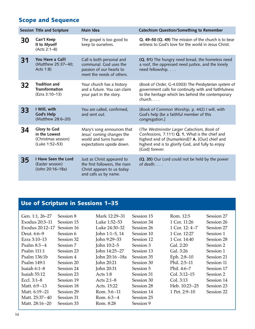|    | Session Title and Scripture                                                   | Main Idea                                                                                                           | <b>Catechism Question/Something to Remember</b>                                                                                                                                                                        |
|----|-------------------------------------------------------------------------------|---------------------------------------------------------------------------------------------------------------------|------------------------------------------------------------------------------------------------------------------------------------------------------------------------------------------------------------------------|
| 30 | Can't Keep<br>It to Myself<br>(Acts 2:1-8)                                    | The gospel is too good to<br>keep to ourselves.                                                                     | Q. 49-50 (Q. 49) The mission of the church is to bear<br>witness to God's love for the world in Jesus Christ.                                                                                                          |
| 31 | You Have a Call!<br>(Matthew 25:37-40;<br>Acts 1:8)                           | Call is both personal and<br>communal. God uses the<br>passion of our hearts to<br>meet the needs of others.        | (Q. 51) The hungry need bread, the homeless need<br>a roof, the oppressed need justice, and the lonely<br>need fellowship.                                                                                             |
| 32 | Tradition and<br><b>Transformation</b><br>(Ezra 3:10-13)                      | Your church has a history<br>and a future. You can claim<br>your part in the story.                                 | (Book of Order, G-4.0303) The Presbyterian system of<br>government calls for continuity with and faithfulness<br>to the heritage which lies behind the contemporary<br>church.                                         |
| 33 | I Will, with<br><b>God's Help</b><br>(Matthew 28:6-20)                        | You are called, confirmed,<br>and sent out.                                                                         | (Book of Common Worship, p. 442) I will, with<br>God's help [be a faithful member of this<br>congregation.]                                                                                                            |
| 34 | <b>Glory to God</b><br>in the Lowest<br>(Christmas session)<br>(Luke 1:52-53) | Mary's song announces that<br>Jesus' coming changes the<br>world and turns human<br>expectations upside down.       | (The Westminster Larger Catechism, Book of<br>Confessions, 7.111) Q. 1. What is the chief and<br>highest end of [humankind]? A. [Our] chief and<br>highest end is to glorify God, and fully to enjoy<br>[God] forever. |
| 35 | I Have Seen the Lord<br>(Easter session)<br>(John 20:16-18a)                  | Just as Christ appeared to<br>the first followers, the risen<br>Christ appears to us today<br>and calls us by name. | (Q. 35) Our Lord could not be held by the power<br>of death.                                                                                                                                                           |

### Use of Scripture in Sessions 1–35

| Gen. 1:1, 26–27<br>Exodus $20:3-11$<br>Exodus 20:12-17<br>Deut. 6:6-9<br>Ezra 3:10–13<br>Psalm $8:3-4$<br>Psalm $111:1$<br>Psalm 136:1b<br>Psalm 149:1<br>Isaiah $6:1-8$<br>Isaiah 55:12<br>Eccl. $3:1-8$<br>Matt. $6:9-13$<br>Matt. 6:19-21<br>Matt. 25:37–40 | Session 8<br>Session 15<br>Session 16<br>Session 6<br>Session 32<br>Session 7<br>Session 23<br>Session 4<br>Session 20<br>Session 24<br>Session 23<br>Session 19<br>Session 18<br>Session 29<br>Session 31 | Mark 12:29–31<br>Luke 1:52–53<br>Luke 24:30–32<br>John 1:1-5, 14<br>John 9:29–33<br>John 10:2-5<br>John 14:25-27<br>John 20:16-18a<br>John 20:21<br>John 20:31<br>Acts $1:8$<br>Acts $2:1-8$<br>Acts. 15:22<br>Rom. $5:6-11$<br>Rom. $6:3-4$ | Session 15<br>Session 34<br>Session 26<br>Session 10<br>Session 12<br>Session 3<br>Session 13<br>Session 35<br>Session 30<br>Session 5<br>Session 31<br>Session 30<br>Session 28<br>Session 14<br>Session 25 | Rom. 12:5<br>1 Cor. 11:26<br>1 Cor. $12:4-7$<br>1 Cor. 12:27<br>1 Cor. $14:40$<br>Gal. 2:20<br>Gal. 3:26<br>Eph. 2:8-10<br>Phil. 2:5-11<br>Phil. 4:6–7<br>$Col. 3:12-15$<br>Col. 3:13<br>Heb. 10:23-25<br>1 Pet. 2:9–10 | Session 27<br>Session 26<br>Session 27<br>Session 1<br>Session 28<br>Session 2<br>Session 1<br>Session 21<br>Session 11<br>Session 17<br>Session 2<br>Session 14<br>Session 23<br>Session 22 |
|----------------------------------------------------------------------------------------------------------------------------------------------------------------------------------------------------------------------------------------------------------------|------------------------------------------------------------------------------------------------------------------------------------------------------------------------------------------------------------|----------------------------------------------------------------------------------------------------------------------------------------------------------------------------------------------------------------------------------------------|--------------------------------------------------------------------------------------------------------------------------------------------------------------------------------------------------------------|-------------------------------------------------------------------------------------------------------------------------------------------------------------------------------------------------------------------------|----------------------------------------------------------------------------------------------------------------------------------------------------------------------------------------------|
| Matt. 28:16-20                                                                                                                                                                                                                                                 | Session 33                                                                                                                                                                                                 | Rom. 8:28                                                                                                                                                                                                                                    | Session 9                                                                                                                                                                                                    |                                                                                                                                                                                                                         |                                                                                                                                                                                              |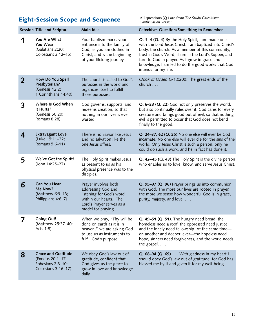### Eight-Session Scope and Sequence

All questions (Q.) are from *The Study Catechism: Confirmation Version*.

|   | Session Title and Scripture                                                                | Main Idea                                                                                                                                           | <b>Catechism Question/Something to Remember</b>                                                                                                                                                                                                                                                                                                        |
|---|--------------------------------------------------------------------------------------------|-----------------------------------------------------------------------------------------------------------------------------------------------------|--------------------------------------------------------------------------------------------------------------------------------------------------------------------------------------------------------------------------------------------------------------------------------------------------------------------------------------------------------|
|   | You Are What<br>You Wear<br>(Galatians 2:20;<br>Colossians 3:12-15)                        | Your baptism marks your<br>entrance into the family of<br>God, as you are clothed in<br>Christ, and is the beginning<br>of your lifelong journey.   | Q. 1-4 (Q. 4) By the Holy Spirit, I am made one<br>with the Lord Jesus Christ. I am baptized into Christ's<br>body, the church. As a member of this community, I<br>trust in God's Word, share in the Lord's Supper, and<br>turn to God in prayer. As I grow in grace and<br>knowledge, I am led to do the good works that God<br>intends for my life. |
| 2 | How Do You Spell<br>Presbyterian?<br>(Genesis 12:2;<br>1 Corinthians 14:40)                | The church is called to God's<br>purposes in the world and<br>organizes itself to fulfill<br>those purposes.                                        | (Book of Order, G-1.0200) The great ends of the<br>church                                                                                                                                                                                                                                                                                              |
| 3 | Where Is God When<br>It Hurts?<br>(Genesis 50:20;<br>Romans 8:28)                          | God governs, supports, and<br>redeems creation, so that<br>nothing in our lives is ever<br>wasted.                                                  | Q. 6-23 (Q. 22) God not only preserves the world,<br>but also continually rules over it. God cares for every<br>creature and brings good out of evil, so that nothing<br>evil is permitted to occur that God does not bend<br>finally to the good.                                                                                                     |
| 4 | <b>Extravagant Love</b><br>(Luke 15:11-32;<br>Romans 5:6-11)                               | There is no Savior like Jesus<br>and no salvation like the<br>one Jesus offers.                                                                     | Q. 24-37, 62 (Q. 25) No one else will ever be God<br>incarnate. No one else will ever die for the sins of the<br>world. Only Jesus Christ is such a person, only he<br>could do such a work, and he in fact has done it.                                                                                                                               |
| 5 | We've Got the Spirit!<br>(John 14:25-27)                                                   | The Holy Spirit makes Jesus<br>as present to us as his<br>physical presence was to the<br>disciples.                                                | Q. 42-45 (Q. 43) The Holy Spirit is the divine person<br>who enables us to love, know, and serve Jesus Christ.                                                                                                                                                                                                                                         |
| 6 | <b>Can You Hear</b><br>Me Now?<br>(Matthew 6:9-13;<br>Philippians 4:6-7)                   | Prayer involves both<br>addressing God and<br>listening for God's word<br>within our hearts. The<br>Lord's Prayer serves as a<br>model for praying. | Q. 95-97 (Q. 96) Prayer brings us into communion<br>with God. The more our lives are rooted in prayer,<br>the more we sense how wonderful God is in grace,<br>purity, majesty, and love.                                                                                                                                                               |
|   | <b>Going Out!</b><br>(Matthew 25:37-40;<br>Acts 1:8)                                       | When we pray, "Thy will be<br>done on earth as it is in<br>heaven," we are asking God<br>to use us as instruments to<br>fulfill God's purpose.      | Q. 49-51 (Q. 51). The hungry need bread, the<br>homeless need a roof, the oppressed need justice,<br>and the lonely need fellowship. At the same time-<br>on another and deeper lever-the hopeless need<br>hope, sinners need forgiveness, and the world needs<br>the gospel. $\ldots$                                                                 |
| 8 | <b>Grace and Gratitude</b><br>(Exodus 20:1-17;<br>Ephesians 2:8-10;<br>Colossians 3:16-17) | We obey God's law out of<br>gratitude, confident that<br>God gives us the grace to<br>grow in love and knowledge<br>daily.                          | Q. 68-94 (Q. 69) With gladness in my heart I<br>should obey God's law out of gratitude, for God has<br>blessed me by it and given it for my well-being.                                                                                                                                                                                                |